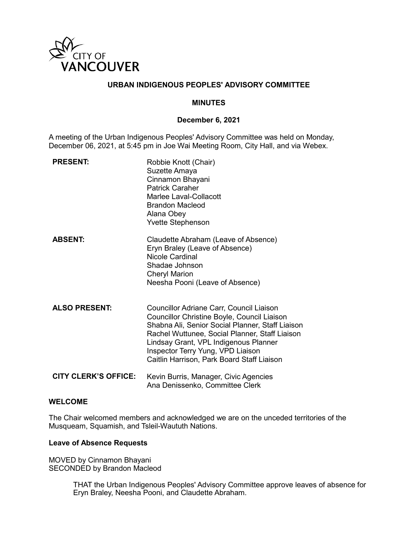

### **URBAN INDIGENOUS PEOPLES' ADVISORY COMMITTEE**

### **MINUTES**

### **December 6, 2021**

A meeting of the Urban Indigenous Peoples' Advisory Committee was held on Monday, December 06, 2021, at 5:45 pm in Joe Wai Meeting Room, City Hall, and via Webex.

| <b>PRESENT:</b>             | Robbie Knott (Chair)<br>Suzette Amaya<br>Cinnamon Bhayani<br><b>Patrick Caraher</b><br>Marlee Laval-Collacott<br>Brandon Macleod<br>Alana Obey<br><b>Yvette Stephenson</b>                                                                                                                                                |
|-----------------------------|---------------------------------------------------------------------------------------------------------------------------------------------------------------------------------------------------------------------------------------------------------------------------------------------------------------------------|
| <b>ABSENT:</b>              | Claudette Abraham (Leave of Absence)<br>Eryn Braley (Leave of Absence)<br><b>Nicole Cardinal</b><br>Shadae Johnson<br><b>Cheryl Marion</b><br>Neesha Pooni (Leave of Absence)                                                                                                                                             |
| <b>ALSO PRESENT:</b>        | Councillor Adriane Carr, Council Liaison<br>Councillor Christine Boyle, Council Liaison<br>Shabna Ali, Senior Social Planner, Staff Liaison<br>Rachel Wuttunee, Social Planner, Staff Liaison<br>Lindsay Grant, VPL Indigenous Planner<br>Inspector Terry Yung, VPD Liaison<br>Caitlin Harrison, Park Board Staff Liaison |
| <b>CITY CLERK'S OFFICE:</b> | Kevin Burris, Manager, Civic Agencies<br>Ana Denissenko, Committee Clerk                                                                                                                                                                                                                                                  |

#### **WELCOME**

The Chair welcomed members and acknowledged we are on the unceded territories of the Musqueam, Squamish, and Tsleil-Waututh Nations.

#### **Leave of Absence Requests**

MOVED by Cinnamon Bhayani SECONDED by Brandon Macleod

> THAT the Urban Indigenous Peoples' Advisory Committee approve leaves of absence for Eryn Braley, Neesha Pooni, and Claudette Abraham.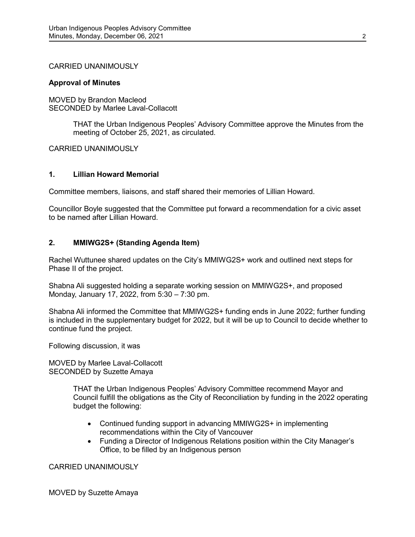### CARRIED UNANIMOUSLY

### **Approval of Minutes**

MOVED by Brandon Macleod SECONDED by Marlee Laval-Collacott

> THAT the Urban Indigenous Peoples' Advisory Committee approve the Minutes from the meeting of October 25, 2021, as circulated.

CARRIED UNANIMOUSLY

### **1. Lillian Howard Memorial**

Committee members, liaisons, and staff shared their memories of Lillian Howard.

Councillor Boyle suggested that the Committee put forward a recommendation for a civic asset to be named after Lillian Howard.

### **2. MMIWG2S+ (Standing Agenda Item)**

Rachel Wuttunee shared updates on the City's MMIWG2S+ work and outlined next steps for Phase II of the project.

Shabna Ali suggested holding a separate working session on MMIWG2S+, and proposed Monday, January 17, 2022, from 5:30 – 7:30 pm.

Shabna Ali informed the Committee that MMIWG2S+ funding ends in June 2022; further funding is included in the supplementary budget for 2022, but it will be up to Council to decide whether to continue fund the project.

Following discussion, it was

MOVED by Marlee Laval-Collacott SECONDED by Suzette Amaya

> THAT the Urban Indigenous Peoples' Advisory Committee recommend Mayor and Council fulfill the obligations as the City of Reconciliation by funding in the 2022 operating budget the following:

- Continued funding support in advancing MMIWG2S+ in implementing recommendations within the City of Vancouver
- Funding a Director of Indigenous Relations position within the City Manager's Office, to be filled by an Indigenous person

CARRIED UNANIMOUSLY

MOVED by Suzette Amaya